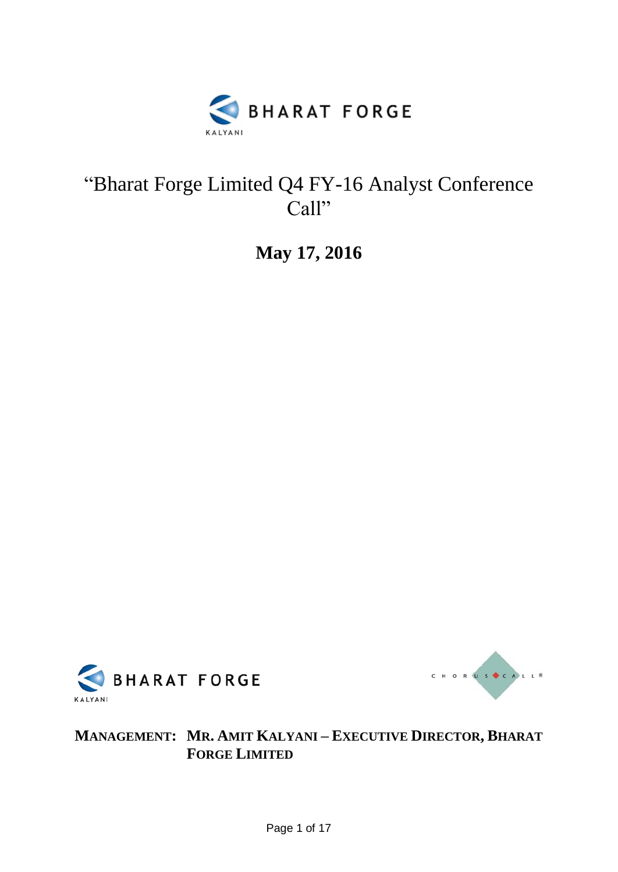

## "Bharat Forge Limited Q4 FY-16 Analyst Conference Call"

**May 17, 2016**





**MANAGEMENT: MR. AMIT KALYANI – EXECUTIVE DIRECTOR, BHARAT FORGE LIMITED**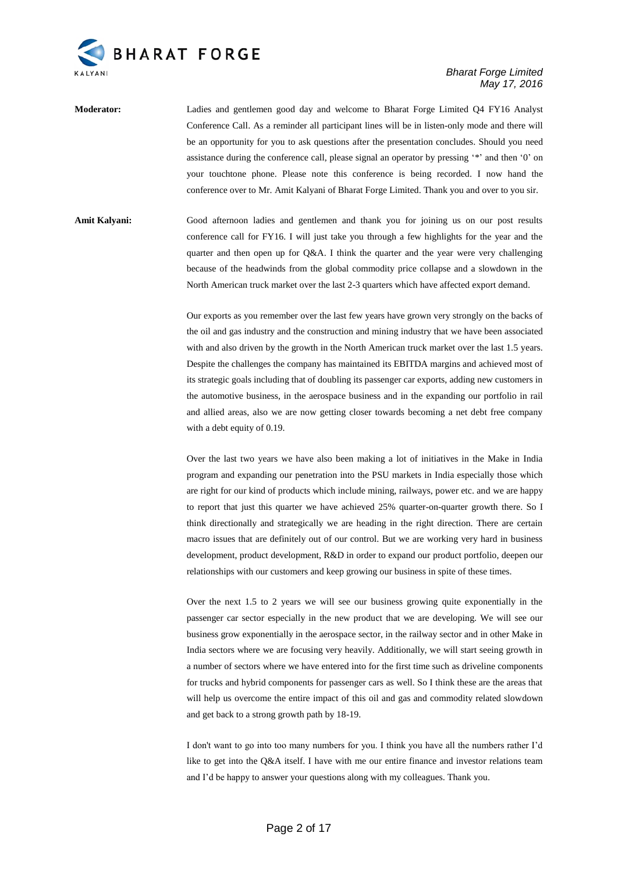

## *Bharat Forge Limited May 17, 2016*

**Moderator:** Ladies and gentlemen good day and welcome to Bharat Forge Limited Q4 FY16 Analyst Conference Call. As a reminder all participant lines will be in listen-only mode and there will be an opportunity for you to ask questions after the presentation concludes. Should you need assistance during the conference call, please signal an operator by pressing "\*" and then '0" on your touchtone phone. Please note this conference is being recorded. I now hand the conference over to Mr. Amit Kalyani of Bharat Forge Limited. Thank you and over to you sir.

**Amit Kalyani:** Good afternoon ladies and gentlemen and thank you for joining us on our post results conference call for FY16. I will just take you through a few highlights for the year and the quarter and then open up for Q&A. I think the quarter and the year were very challenging because of the headwinds from the global commodity price collapse and a slowdown in the North American truck market over the last 2-3 quarters which have affected export demand.

> Our exports as you remember over the last few years have grown very strongly on the backs of the oil and gas industry and the construction and mining industry that we have been associated with and also driven by the growth in the North American truck market over the last 1.5 years. Despite the challenges the company has maintained its EBITDA margins and achieved most of its strategic goals including that of doubling its passenger car exports, adding new customers in the automotive business, in the aerospace business and in the expanding our portfolio in rail and allied areas, also we are now getting closer towards becoming a net debt free company with a debt equity of 0.19.

> Over the last two years we have also been making a lot of initiatives in the Make in India program and expanding our penetration into the PSU markets in India especially those which are right for our kind of products which include mining, railways, power etc. and we are happy to report that just this quarter we have achieved 25% quarter-on-quarter growth there. So I think directionally and strategically we are heading in the right direction. There are certain macro issues that are definitely out of our control. But we are working very hard in business development, product development, R&D in order to expand our product portfolio, deepen our relationships with our customers and keep growing our business in spite of these times.

> Over the next 1.5 to 2 years we will see our business growing quite exponentially in the passenger car sector especially in the new product that we are developing. We will see our business grow exponentially in the aerospace sector, in the railway sector and in other Make in India sectors where we are focusing very heavily. Additionally, we will start seeing growth in a number of sectors where we have entered into for the first time such as driveline components for trucks and hybrid components for passenger cars as well. So I think these are the areas that will help us overcome the entire impact of this oil and gas and commodity related slowdown and get back to a strong growth path by 18-19.

> I don't want to go into too many numbers for you. I think you have all the numbers rather I"d like to get into the Q&A itself. I have with me our entire finance and investor relations team and I"d be happy to answer your questions along with my colleagues. Thank you.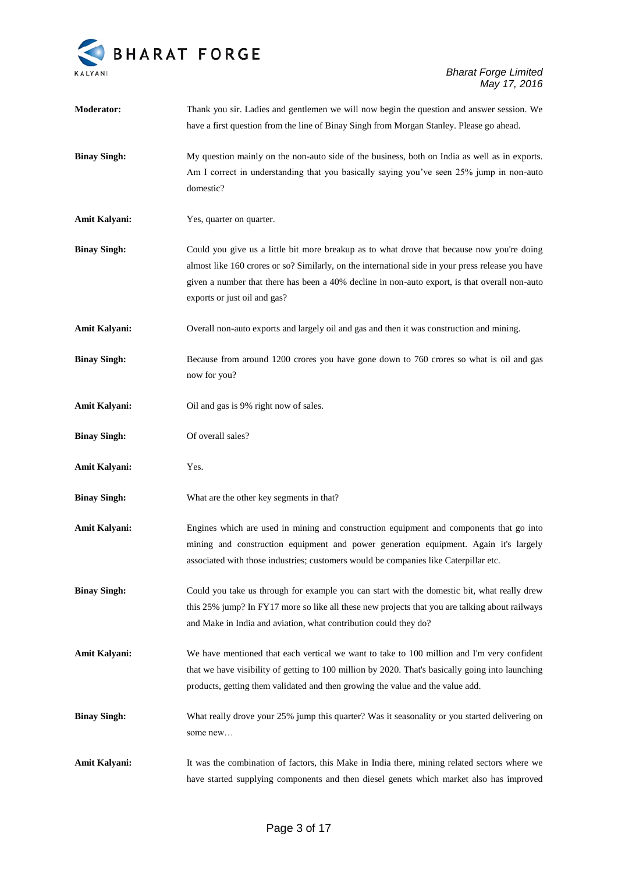

| <b>Moderator:</b>   | Thank you sir. Ladies and gentlemen we will now begin the question and answer session. We<br>have a first question from the line of Binay Singh from Morgan Stanley. Please go ahead.                                                                                                                                            |
|---------------------|----------------------------------------------------------------------------------------------------------------------------------------------------------------------------------------------------------------------------------------------------------------------------------------------------------------------------------|
| <b>Binay Singh:</b> | My question mainly on the non-auto side of the business, both on India as well as in exports.<br>Am I correct in understanding that you basically saying you've seen 25% jump in non-auto<br>domestic?                                                                                                                           |
| Amit Kalyani:       | Yes, quarter on quarter.                                                                                                                                                                                                                                                                                                         |
| <b>Binay Singh:</b> | Could you give us a little bit more breakup as to what drove that because now you're doing<br>almost like 160 crores or so? Similarly, on the international side in your press release you have<br>given a number that there has been a 40% decline in non-auto export, is that overall non-auto<br>exports or just oil and gas? |
| Amit Kalyani:       | Overall non-auto exports and largely oil and gas and then it was construction and mining.                                                                                                                                                                                                                                        |
| <b>Binay Singh:</b> | Because from around 1200 crores you have gone down to 760 crores so what is oil and gas<br>now for you?                                                                                                                                                                                                                          |
| Amit Kalyani:       | Oil and gas is 9% right now of sales.                                                                                                                                                                                                                                                                                            |
| <b>Binay Singh:</b> | Of overall sales?                                                                                                                                                                                                                                                                                                                |
| Amit Kalyani:       | Yes.                                                                                                                                                                                                                                                                                                                             |
| <b>Binay Singh:</b> | What are the other key segments in that?                                                                                                                                                                                                                                                                                         |
| Amit Kalyani:       | Engines which are used in mining and construction equipment and components that go into<br>mining and construction equipment and power generation equipment. Again it's largely<br>associated with those industries; customers would be companies like Caterpillar etc.                                                          |
| <b>Binay Singh:</b> | Could you take us through for example you can start with the domestic bit, what really drew<br>this 25% jump? In FY17 more so like all these new projects that you are talking about railways<br>and Make in India and aviation, what contribution could they do?                                                                |
| Amit Kalyani:       | We have mentioned that each vertical we want to take to 100 million and I'm very confident<br>that we have visibility of getting to 100 million by 2020. That's basically going into launching<br>products, getting them validated and then growing the value and the value add.                                                 |
| <b>Binay Singh:</b> | What really drove your 25% jump this quarter? Was it seasonality or you started delivering on<br>some new                                                                                                                                                                                                                        |
| Amit Kalyani:       | It was the combination of factors, this Make in India there, mining related sectors where we<br>have started supplying components and then diesel genets which market also has improved                                                                                                                                          |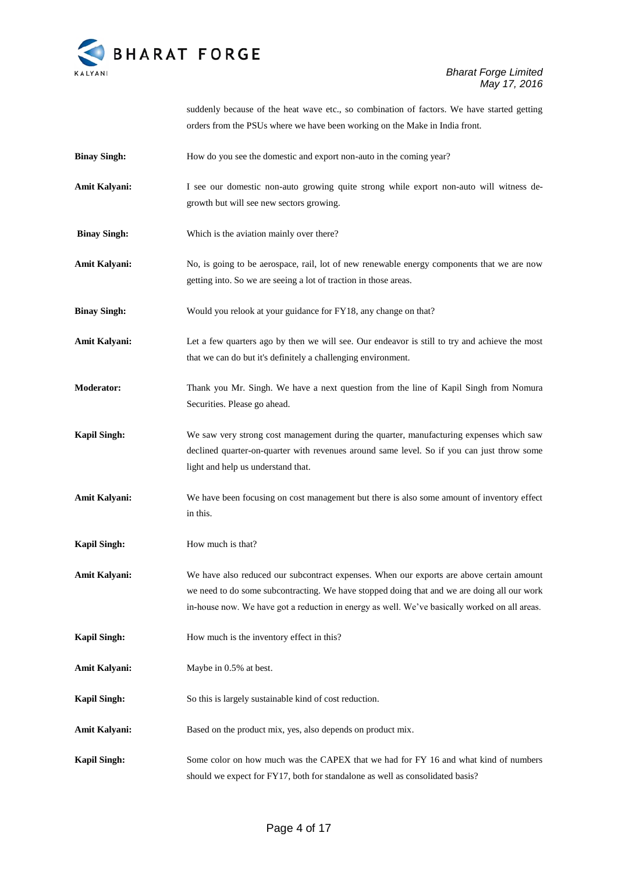

suddenly because of the heat wave etc., so combination of factors. We have started getting orders from the PSUs where we have been working on the Make in India front.

- **Binay Singh:** How do you see the domestic and export non-auto in the coming year?
- **Amit Kalyani:** I see our domestic non-auto growing quite strong while export non-auto will witness degrowth but will see new sectors growing.
- **Binay Singh:** Which is the aviation mainly over there?
- Amit Kalyani: No, is going to be aerospace, rail, lot of new renewable energy components that we are now getting into. So we are seeing a lot of traction in those areas.
- **Binay Singh:** Would you relook at your guidance for FY18, any change on that?
- **Amit Kalyani:** Let a few quarters ago by then we will see. Our endeavor is still to try and achieve the most that we can do but it's definitely a challenging environment.
- **Moderator:** Thank you Mr. Singh. We have a next question from the line of Kapil Singh from Nomura Securities. Please go ahead.
- **Kapil Singh:** We saw very strong cost management during the quarter, manufacturing expenses which saw declined quarter-on-quarter with revenues around same level. So if you can just throw some light and help us understand that.
- **Amit Kalyani:** We have been focusing on cost management but there is also some amount of inventory effect in this.
- **Kapil Singh:** How much is that?
- **Amit Kalyani:** We have also reduced our subcontract expenses. When our exports are above certain amount we need to do some subcontracting. We have stopped doing that and we are doing all our work in-house now. We have got a reduction in energy as well. We"ve basically worked on all areas.
- **Kapil Singh:** How much is the inventory effect in this?
- **Amit Kalyani:** Maybe in 0.5% at best.
- **Kapil Singh:** So this is largely sustainable kind of cost reduction.
- Amit Kalyani: Based on the product mix, yes, also depends on product mix.
- **Kapil Singh:** Some color on how much was the CAPEX that we had for FY 16 and what kind of numbers should we expect for FY17, both for standalone as well as consolidated basis?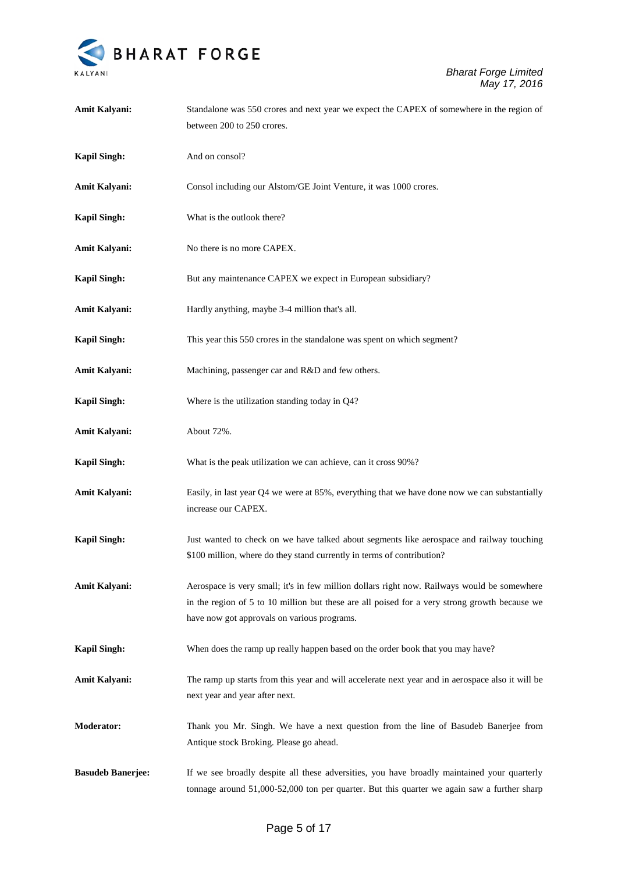

| Amit Kalyani:            | Standalone was 550 crores and next year we expect the CAPEX of somewhere in the region of<br>between 200 to 250 crores.                                                                                                                     |
|--------------------------|---------------------------------------------------------------------------------------------------------------------------------------------------------------------------------------------------------------------------------------------|
| <b>Kapil Singh:</b>      | And on consol?                                                                                                                                                                                                                              |
| Amit Kalyani:            | Consol including our Alstom/GE Joint Venture, it was 1000 crores.                                                                                                                                                                           |
| <b>Kapil Singh:</b>      | What is the outlook there?                                                                                                                                                                                                                  |
| Amit Kalyani:            | No there is no more CAPEX.                                                                                                                                                                                                                  |
| <b>Kapil Singh:</b>      | But any maintenance CAPEX we expect in European subsidiary?                                                                                                                                                                                 |
| Amit Kalyani:            | Hardly anything, maybe 3-4 million that's all.                                                                                                                                                                                              |
| <b>Kapil Singh:</b>      | This year this 550 crores in the standalone was spent on which segment?                                                                                                                                                                     |
| Amit Kalyani:            | Machining, passenger car and R&D and few others.                                                                                                                                                                                            |
| <b>Kapil Singh:</b>      | Where is the utilization standing today in Q4?                                                                                                                                                                                              |
| <b>Amit Kalyani:</b>     | About 72%.                                                                                                                                                                                                                                  |
| <b>Kapil Singh:</b>      | What is the peak utilization we can achieve, can it cross 90%?                                                                                                                                                                              |
| <b>Amit Kalyani:</b>     | Easily, in last year Q4 we were at 85%, everything that we have done now we can substantially<br>increase our CAPEX.                                                                                                                        |
| <b>Kapil Singh:</b>      | Just wanted to check on we have talked about segments like aerospace and railway touching<br>\$100 million, where do they stand currently in terms of contribution?                                                                         |
| Amit Kalyani:            | Aerospace is very small; it's in few million dollars right now. Railways would be somewhere<br>in the region of 5 to 10 million but these are all poised for a very strong growth because we<br>have now got approvals on various programs. |
| <b>Kapil Singh:</b>      | When does the ramp up really happen based on the order book that you may have?                                                                                                                                                              |
| <b>Amit Kalyani:</b>     | The ramp up starts from this year and will accelerate next year and in aerospace also it will be<br>next year and year after next.                                                                                                          |
| <b>Moderator:</b>        | Thank you Mr. Singh. We have a next question from the line of Basudeb Banerjee from<br>Antique stock Broking. Please go ahead.                                                                                                              |
| <b>Basudeb Banerjee:</b> | If we see broadly despite all these adversities, you have broadly maintained your quarterly<br>tonnage around 51,000-52,000 ton per quarter. But this quarter we again saw a further sharp                                                  |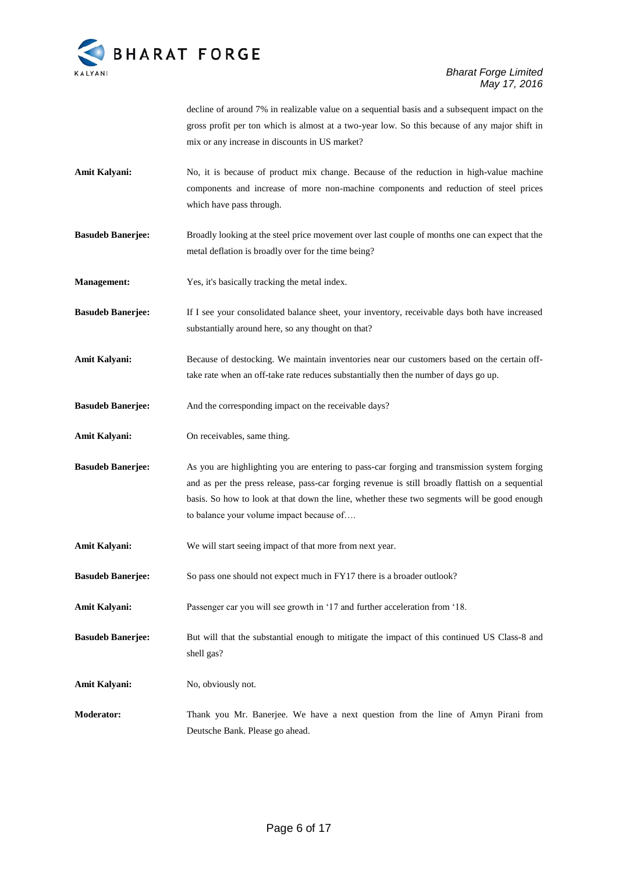

decline of around 7% in realizable value on a sequential basis and a subsequent impact on the gross profit per ton which is almost at a two-year low. So this because of any major shift in mix or any increase in discounts in US market?

- **Amit Kalyani:** No, it is because of product mix change. Because of the reduction in high-value machine components and increase of more non-machine components and reduction of steel prices which have pass through.
- **Basudeb Banerjee:** Broadly looking at the steel price movement over last couple of months one can expect that the metal deflation is broadly over for the time being?
- **Management:** Yes, it's basically tracking the metal index.
- **Basudeb Banerjee:** If I see your consolidated balance sheet, your inventory, receivable days both have increased substantially around here, so any thought on that?
- Amit Kalyani: Because of destocking. We maintain inventories near our customers based on the certain offtake rate when an off-take rate reduces substantially then the number of days go up.
- **Basudeb Banerjee:** And the corresponding impact on the receivable days?
- **Amit Kalyani:** On receivables, same thing.
- **Basudeb Banerjee:** As you are highlighting you are entering to pass-car forging and transmission system forging and as per the press release, pass-car forging revenue is still broadly flattish on a sequential basis. So how to look at that down the line, whether these two segments will be good enough to balance your volume impact because of….
- **Amit Kalyani:** We will start seeing impact of that more from next year.
- **Basudeb Banerjee:** So pass one should not expect much in FY17 there is a broader outlook?
- Amit Kalyani: Passenger car you will see growth in '17 and further acceleration from '18.
- **Basudeb Banerjee:** But will that the substantial enough to mitigate the impact of this continued US Class-8 and shell gas?
- Amit Kalyani: No, obviously not.
- **Moderator:** Thank you Mr. Banerjee. We have a next question from the line of Amyn Pirani from Deutsche Bank. Please go ahead.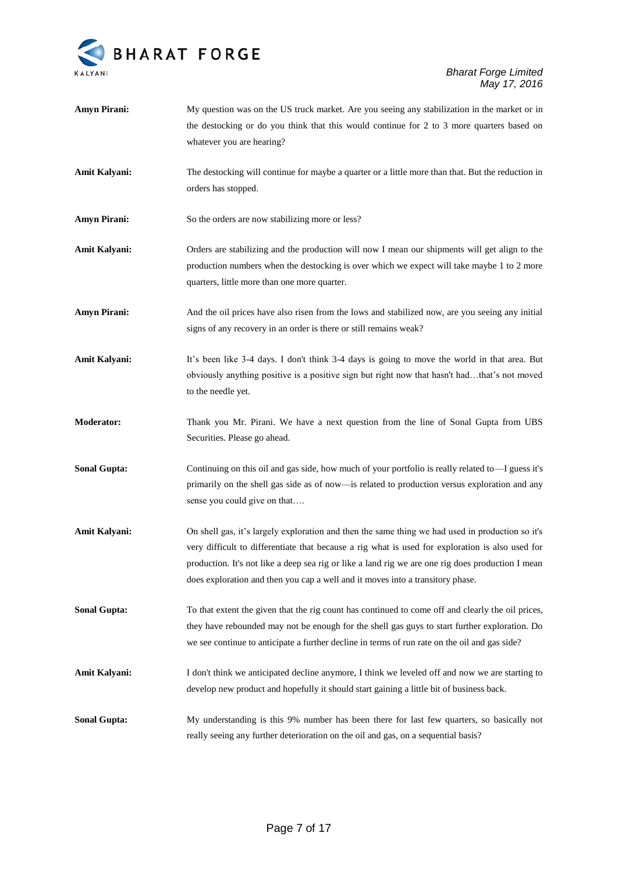

## *Bharat Forge Limited May 17, 2016*

| <b>Amyn Pirani:</b>  | My question was on the US truck market. Are you seeing any stabilization in the market or in<br>the destocking or do you think that this would continue for 2 to 3 more quarters based on<br>whatever you are hearing?                                                                                                                                                                      |
|----------------------|---------------------------------------------------------------------------------------------------------------------------------------------------------------------------------------------------------------------------------------------------------------------------------------------------------------------------------------------------------------------------------------------|
| <b>Amit Kalyani:</b> | The destocking will continue for maybe a quarter or a little more than that. But the reduction in<br>orders has stopped.                                                                                                                                                                                                                                                                    |
| <b>Amyn Pirani:</b>  | So the orders are now stabilizing more or less?                                                                                                                                                                                                                                                                                                                                             |
| <b>Amit Kalyani:</b> | Orders are stabilizing and the production will now I mean our shipments will get align to the<br>production numbers when the destocking is over which we expect will take maybe 1 to 2 more<br>quarters, little more than one more quarter.                                                                                                                                                 |
| <b>Amyn Pirani:</b>  | And the oil prices have also risen from the lows and stabilized now, are you seeing any initial<br>signs of any recovery in an order is there or still remains weak?                                                                                                                                                                                                                        |
| <b>Amit Kalyani:</b> | It's been like 3-4 days. I don't think 3-4 days is going to move the world in that area. But<br>obviously anything positive is a positive sign but right now that hasn't hadthat's not moved<br>to the needle yet.                                                                                                                                                                          |
| <b>Moderator:</b>    | Thank you Mr. Pirani. We have a next question from the line of Sonal Gupta from UBS<br>Securities. Please go ahead.                                                                                                                                                                                                                                                                         |
| <b>Sonal Gupta:</b>  | Continuing on this oil and gas side, how much of your portfolio is really related to—I guess it's<br>primarily on the shell gas side as of now-is related to production versus exploration and any<br>sense you could give on that                                                                                                                                                          |
| <b>Amit Kalyani:</b> | On shell gas, it's largely exploration and then the same thing we had used in production so it's<br>very difficult to differentiate that because a rig what is used for exploration is also used for<br>production. It's not like a deep sea rig or like a land rig we are one rig does production I mean<br>does exploration and then you cap a well and it moves into a transitory phase. |
| <b>Sonal Gupta:</b>  | To that extent the given that the rig count has continued to come off and clearly the oil prices,<br>they have rebounded may not be enough for the shell gas guys to start further exploration. Do<br>we see continue to anticipate a further decline in terms of run rate on the oil and gas side?                                                                                         |
| <b>Amit Kalyani:</b> | I don't think we anticipated decline anymore, I think we leveled off and now we are starting to<br>develop new product and hopefully it should start gaining a little bit of business back.                                                                                                                                                                                                 |
| <b>Sonal Gupta:</b>  | My understanding is this 9% number has been there for last few quarters, so basically not<br>really seeing any further deterioration on the oil and gas, on a sequential basis?                                                                                                                                                                                                             |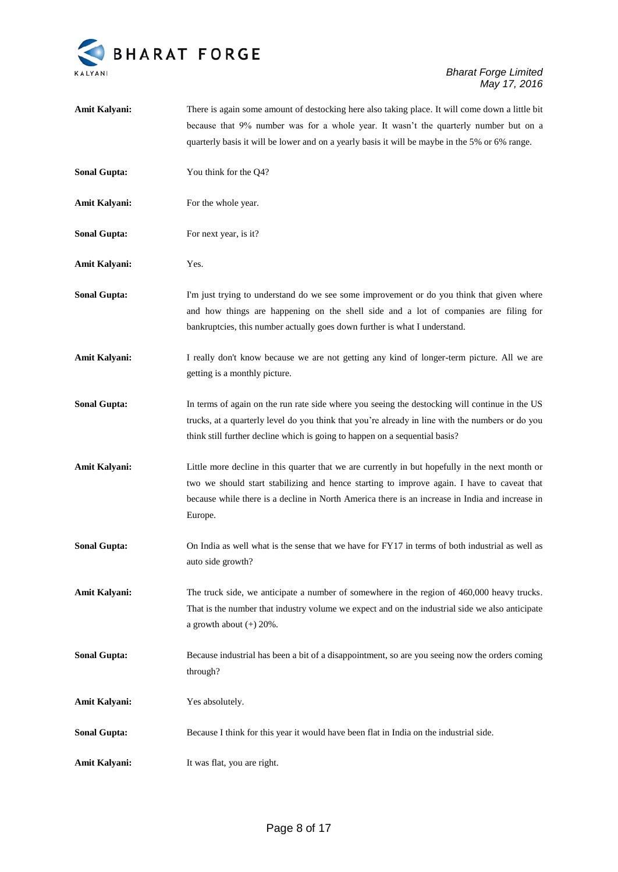

| Amit Kalyani:        | There is again some amount of destocking here also taking place. It will come down a little bit                                                                                                                                                                                                             |
|----------------------|-------------------------------------------------------------------------------------------------------------------------------------------------------------------------------------------------------------------------------------------------------------------------------------------------------------|
|                      | because that 9% number was for a whole year. It wasn't the quarterly number but on a                                                                                                                                                                                                                        |
|                      | quarterly basis it will be lower and on a yearly basis it will be maybe in the 5% or 6% range.                                                                                                                                                                                                              |
| <b>Sonal Gupta:</b>  | You think for the Q4?                                                                                                                                                                                                                                                                                       |
| <b>Amit Kalyani:</b> | For the whole year.                                                                                                                                                                                                                                                                                         |
| <b>Sonal Gupta:</b>  | For next year, is it?                                                                                                                                                                                                                                                                                       |
| <b>Amit Kalyani:</b> | Yes.                                                                                                                                                                                                                                                                                                        |
| <b>Sonal Gupta:</b>  | I'm just trying to understand do we see some improvement or do you think that given where<br>and how things are happening on the shell side and a lot of companies are filing for<br>bankruptcies, this number actually goes down further is what I understand.                                             |
| Amit Kalyani:        | I really don't know because we are not getting any kind of longer-term picture. All we are<br>getting is a monthly picture.                                                                                                                                                                                 |
| <b>Sonal Gupta:</b>  | In terms of again on the run rate side where you seeing the destocking will continue in the US<br>trucks, at a quarterly level do you think that you're already in line with the numbers or do you<br>think still further decline which is going to happen on a sequential basis?                           |
| Amit Kalyani:        | Little more decline in this quarter that we are currently in but hopefully in the next month or<br>two we should start stabilizing and hence starting to improve again. I have to caveat that<br>because while there is a decline in North America there is an increase in India and increase in<br>Europe. |
| <b>Sonal Gupta:</b>  | On India as well what is the sense that we have for FY17 in terms of both industrial as well as<br>auto side growth?                                                                                                                                                                                        |
| <b>Amit Kalyani:</b> | The truck side, we anticipate a number of somewhere in the region of 460,000 heavy trucks.<br>That is the number that industry volume we expect and on the industrial side we also anticipate<br>a growth about $(+)$ 20%.                                                                                  |
| <b>Sonal Gupta:</b>  | Because industrial has been a bit of a disappointment, so are you seeing now the orders coming<br>through?                                                                                                                                                                                                  |
| <b>Amit Kalyani:</b> | Yes absolutely.                                                                                                                                                                                                                                                                                             |
| <b>Sonal Gupta:</b>  | Because I think for this year it would have been flat in India on the industrial side.                                                                                                                                                                                                                      |
| Amit Kalyani:        | It was flat, you are right.                                                                                                                                                                                                                                                                                 |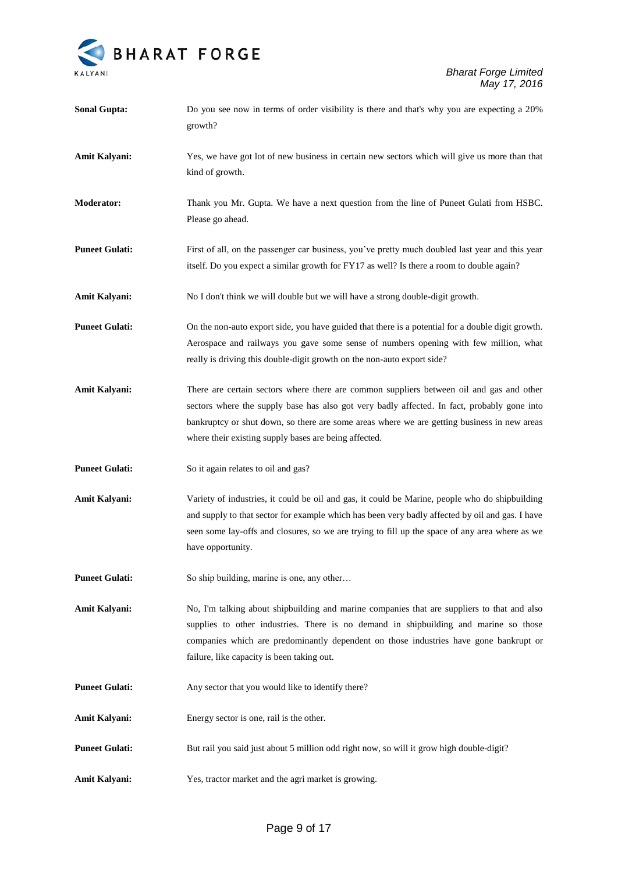

| <b>Sonal Gupta:</b>   | Do you see now in terms of order visibility is there and that's why you are expecting a 20%<br>growth?                                                                                                                                                                                                                                          |
|-----------------------|-------------------------------------------------------------------------------------------------------------------------------------------------------------------------------------------------------------------------------------------------------------------------------------------------------------------------------------------------|
| Amit Kalyani:         | Yes, we have got lot of new business in certain new sectors which will give us more than that<br>kind of growth.                                                                                                                                                                                                                                |
| <b>Moderator:</b>     | Thank you Mr. Gupta. We have a next question from the line of Puneet Gulati from HSBC.<br>Please go ahead.                                                                                                                                                                                                                                      |
| <b>Puneet Gulati:</b> | First of all, on the passenger car business, you've pretty much doubled last year and this year<br>itself. Do you expect a similar growth for FY17 as well? Is there a room to double again?                                                                                                                                                    |
| Amit Kalyani:         | No I don't think we will double but we will have a strong double-digit growth.                                                                                                                                                                                                                                                                  |
| <b>Puneet Gulati:</b> | On the non-auto export side, you have guided that there is a potential for a double digit growth.<br>Aerospace and railways you gave some sense of numbers opening with few million, what<br>really is driving this double-digit growth on the non-auto export side?                                                                            |
| Amit Kalyani:         | There are certain sectors where there are common suppliers between oil and gas and other<br>sectors where the supply base has also got very badly affected. In fact, probably gone into<br>bankruptcy or shut down, so there are some areas where we are getting business in new areas<br>where their existing supply bases are being affected. |
| <b>Puneet Gulati:</b> | So it again relates to oil and gas?                                                                                                                                                                                                                                                                                                             |
| Amit Kalyani:         | Variety of industries, it could be oil and gas, it could be Marine, people who do shipbuilding<br>and supply to that sector for example which has been very badly affected by oil and gas. I have<br>seen some lay-offs and closures, so we are trying to fill up the space of any area where as we<br>have opportunity.                        |
| <b>Puneet Gulati:</b> | So ship building, marine is one, any other                                                                                                                                                                                                                                                                                                      |
| Amit Kalyani:         | No, I'm talking about shipbuilding and marine companies that are suppliers to that and also<br>supplies to other industries. There is no demand in shipbuilding and marine so those<br>companies which are predominantly dependent on those industries have gone bankrupt or<br>failure, like capacity is been taking out.                      |
| <b>Puneet Gulati:</b> | Any sector that you would like to identify there?                                                                                                                                                                                                                                                                                               |
| Amit Kalyani:         | Energy sector is one, rail is the other.                                                                                                                                                                                                                                                                                                        |
| <b>Puneet Gulati:</b> | But rail you said just about 5 million odd right now, so will it grow high double-digit?                                                                                                                                                                                                                                                        |
| Amit Kalyani:         | Yes, tractor market and the agri market is growing.                                                                                                                                                                                                                                                                                             |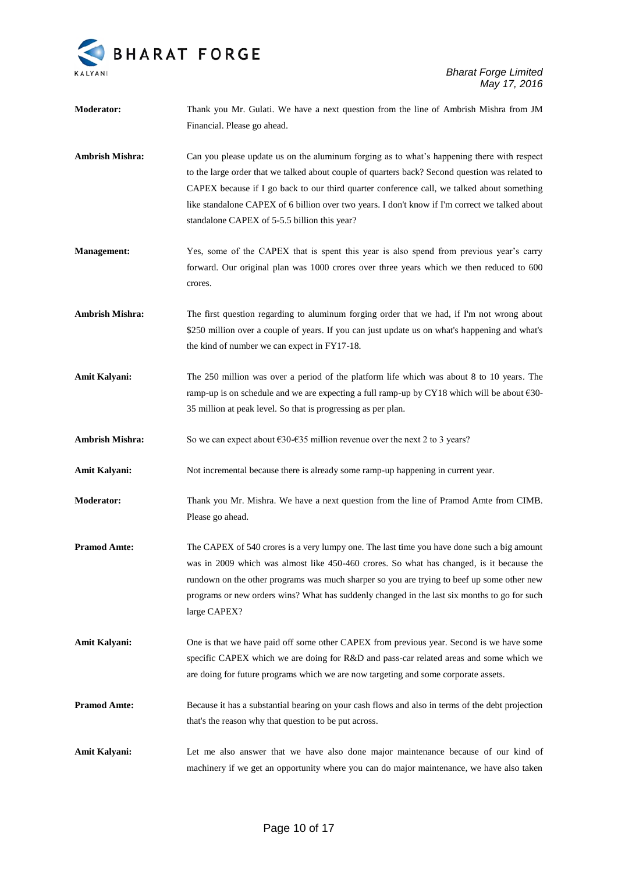

| <b>Moderator:</b>    | Thank you Mr. Gulati. We have a next question from the line of Ambrish Mishra from JM<br>Financial. Please go ahead.                                                                                                                                                                                                                                                                                                                          |
|----------------------|-----------------------------------------------------------------------------------------------------------------------------------------------------------------------------------------------------------------------------------------------------------------------------------------------------------------------------------------------------------------------------------------------------------------------------------------------|
| Ambrish Mishra:      | Can you please update us on the aluminum forging as to what's happening there with respect<br>to the large order that we talked about couple of quarters back? Second question was related to<br>CAPEX because if I go back to our third quarter conference call, we talked about something<br>like standalone CAPEX of 6 billion over two years. I don't know if I'm correct we talked about<br>standalone CAPEX of 5-5.5 billion this year? |
| <b>Management:</b>   | Yes, some of the CAPEX that is spent this year is also spend from previous year's carry<br>forward. Our original plan was 1000 crores over three years which we then reduced to 600<br>crores.                                                                                                                                                                                                                                                |
| Ambrish Mishra:      | The first question regarding to aluminum forging order that we had, if I'm not wrong about<br>\$250 million over a couple of years. If you can just update us on what's happening and what's<br>the kind of number we can expect in FY17-18.                                                                                                                                                                                                  |
| Amit Kalyani:        | The 250 million was over a period of the platform life which was about 8 to 10 years. The<br>ramp-up is on schedule and we are expecting a full ramp-up by CY18 which will be about $\epsilon$ 30-<br>35 million at peak level. So that is progressing as per plan.                                                                                                                                                                           |
| Ambrish Mishra:      | So we can expect about $\epsilon$ 30- $\epsilon$ 35 million revenue over the next 2 to 3 years?                                                                                                                                                                                                                                                                                                                                               |
| Amit Kalyani:        | Not incremental because there is already some ramp-up happening in current year.                                                                                                                                                                                                                                                                                                                                                              |
| <b>Moderator:</b>    | Thank you Mr. Mishra. We have a next question from the line of Pramod Amte from CIMB.<br>Please go ahead.                                                                                                                                                                                                                                                                                                                                     |
| <b>Pramod Amte:</b>  | The CAPEX of 540 crores is a very lumpy one. The last time you have done such a big amount<br>was in 2009 which was almost like 450-460 crores. So what has changed, is it because the<br>rundown on the other programs was much sharper so you are trying to beef up some other new<br>programs or new orders wins? What has suddenly changed in the last six months to go for such<br>large CAPEX?                                          |
| <b>Amit Kalyani:</b> | One is that we have paid off some other CAPEX from previous year. Second is we have some<br>specific CAPEX which we are doing for R&D and pass-car related areas and some which we<br>are doing for future programs which we are now targeting and some corporate assets.                                                                                                                                                                     |
| <b>Pramod Amte:</b>  | Because it has a substantial bearing on your cash flows and also in terms of the debt projection<br>that's the reason why that question to be put across.                                                                                                                                                                                                                                                                                     |
| Amit Kalyani:        | Let me also answer that we have also done major maintenance because of our kind of<br>machinery if we get an opportunity where you can do major maintenance, we have also taken                                                                                                                                                                                                                                                               |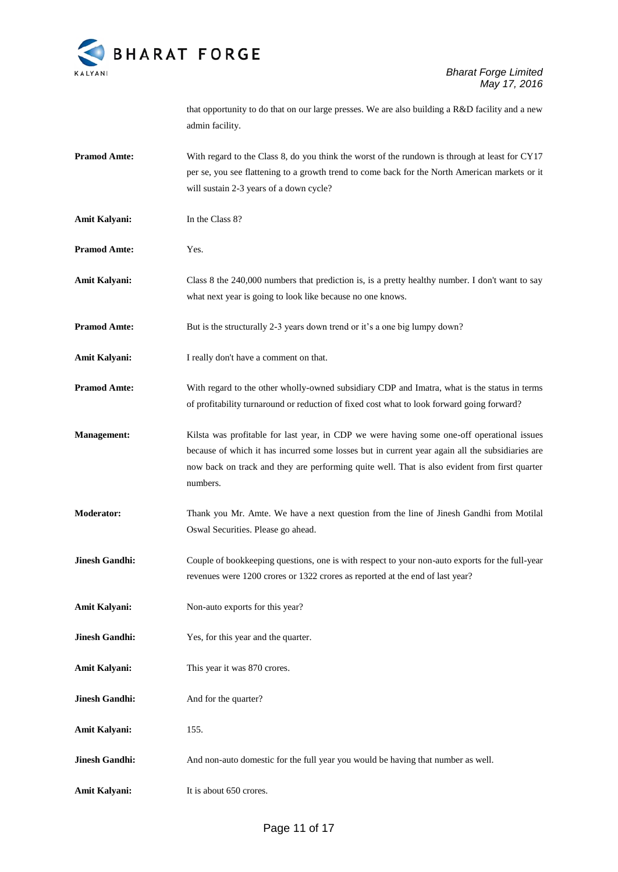

that opportunity to do that on our large presses. We are also building a R&D facility and a new admin facility.

- **Pramod Amte:** With regard to the Class 8, do you think the worst of the rundown is through at least for CY17 per se, you see flattening to a growth trend to come back for the North American markets or it will sustain 2-3 years of a down cycle?
- **Amit Kalyani:** In the Class 8?
- **Pramod Amte:** Yes.
- Amit Kalyani: Class 8 the 240,000 numbers that prediction is, is a pretty healthy number. I don't want to say what next year is going to look like because no one knows.

**Pramod Amte:** But is the structurally 2-3 years down trend or it's a one big lumpy down?

- **Amit Kalyani:** I really don't have a comment on that.
- **Pramod Amte:** With regard to the other wholly-owned subsidiary CDP and Imatra, what is the status in terms of profitability turnaround or reduction of fixed cost what to look forward going forward?
- **Management:** Kilsta was profitable for last year, in CDP we were having some one-off operational issues because of which it has incurred some losses but in current year again all the subsidiaries are now back on track and they are performing quite well. That is also evident from first quarter numbers.
- **Moderator:** Thank you Mr. Amte. We have a next question from the line of Jinesh Gandhi from Motilal Oswal Securities. Please go ahead.
- **Jinesh Gandhi:** Couple of bookkeeping questions, one is with respect to your non-auto exports for the full-year revenues were 1200 crores or 1322 crores as reported at the end of last year?
- Amit Kalyani: Non-auto exports for this year?
- **Jinesh Gandhi:** Yes, for this year and the quarter.
- Amit Kalyani: This year it was 870 crores.
- **Jinesh Gandhi:** And for the quarter?
- **Amit Kalyani:** 155.
- **Jinesh Gandhi:** And non-auto domestic for the full year you would be having that number as well.
- **Amit Kalyani:** It is about 650 crores.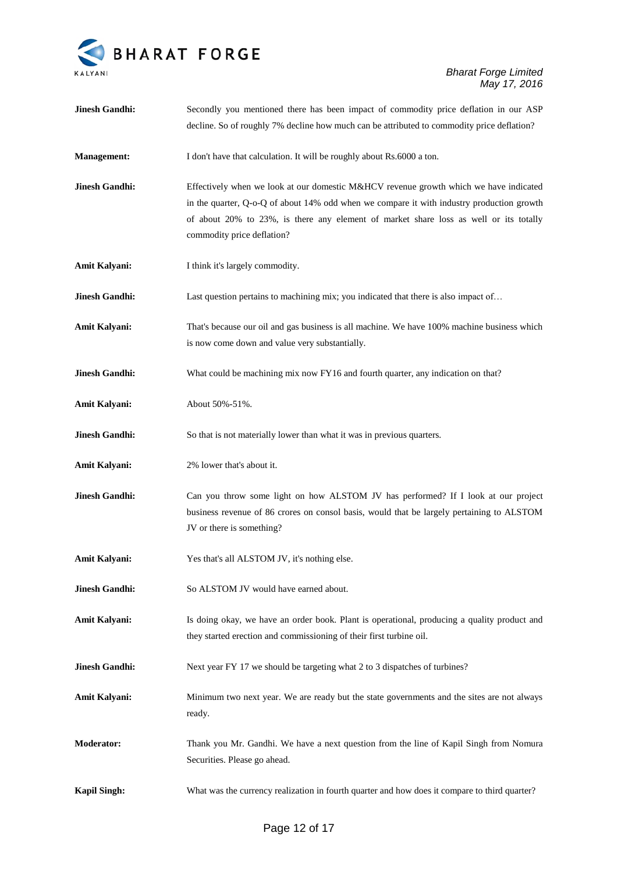

| <b>Jinesh Gandhi:</b> | Secondly you mentioned there has been impact of commodity price deflation in our ASP<br>decline. So of roughly 7% decline how much can be attributed to commodity price deflation?                                                                                                                        |
|-----------------------|-----------------------------------------------------------------------------------------------------------------------------------------------------------------------------------------------------------------------------------------------------------------------------------------------------------|
| <b>Management:</b>    | I don't have that calculation. It will be roughly about Rs.6000 a ton.                                                                                                                                                                                                                                    |
| <b>Jinesh Gandhi:</b> | Effectively when we look at our domestic M&HCV revenue growth which we have indicated<br>in the quarter, Q-o-Q of about 14% odd when we compare it with industry production growth<br>of about 20% to 23%, is there any element of market share loss as well or its totally<br>commodity price deflation? |
| Amit Kalyani:         | I think it's largely commodity.                                                                                                                                                                                                                                                                           |
| <b>Jinesh Gandhi:</b> | Last question pertains to machining mix; you indicated that there is also impact of                                                                                                                                                                                                                       |
| <b>Amit Kalyani:</b>  | That's because our oil and gas business is all machine. We have 100% machine business which<br>is now come down and value very substantially.                                                                                                                                                             |
| <b>Jinesh Gandhi:</b> | What could be machining mix now FY16 and fourth quarter, any indication on that?                                                                                                                                                                                                                          |
| Amit Kalyani:         | About 50%-51%.                                                                                                                                                                                                                                                                                            |
| <b>Jinesh Gandhi:</b> | So that is not materially lower than what it was in previous quarters.                                                                                                                                                                                                                                    |
| <b>Amit Kalyani:</b>  | 2% lower that's about it.                                                                                                                                                                                                                                                                                 |
| <b>Jinesh Gandhi:</b> | Can you throw some light on how ALSTOM JV has performed? If I look at our project<br>business revenue of 86 crores on consol basis, would that be largely pertaining to ALSTOM<br>JV or there is something?                                                                                               |
| Amit Kalyani:         | Yes that's all ALSTOM JV, it's nothing else.                                                                                                                                                                                                                                                              |
| <b>Jinesh Gandhi:</b> | So ALSTOM JV would have earned about.                                                                                                                                                                                                                                                                     |
| <b>Amit Kalyani:</b>  | Is doing okay, we have an order book. Plant is operational, producing a quality product and<br>they started erection and commissioning of their first turbine oil.                                                                                                                                        |
| <b>Jinesh Gandhi:</b> | Next year FY 17 we should be targeting what 2 to 3 dispatches of turbines?                                                                                                                                                                                                                                |
| Amit Kalyani:         | Minimum two next year. We are ready but the state governments and the sites are not always<br>ready.                                                                                                                                                                                                      |
| <b>Moderator:</b>     | Thank you Mr. Gandhi. We have a next question from the line of Kapil Singh from Nomura<br>Securities. Please go ahead.                                                                                                                                                                                    |
| <b>Kapil Singh:</b>   | What was the currency realization in fourth quarter and how does it compare to third quarter?                                                                                                                                                                                                             |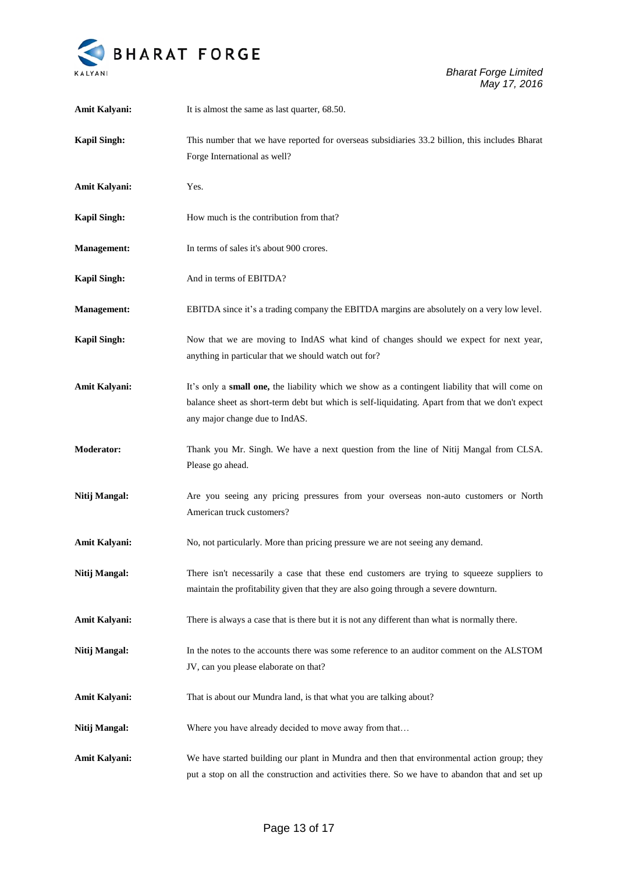

| Amit Kalyani:        | It is almost the same as last quarter, 68.50.                                                                                                                                                                                       |
|----------------------|-------------------------------------------------------------------------------------------------------------------------------------------------------------------------------------------------------------------------------------|
| <b>Kapil Singh:</b>  | This number that we have reported for overseas subsidiaries 33.2 billion, this includes Bharat<br>Forge International as well?                                                                                                      |
| <b>Amit Kalyani:</b> | Yes.                                                                                                                                                                                                                                |
| <b>Kapil Singh:</b>  | How much is the contribution from that?                                                                                                                                                                                             |
| <b>Management:</b>   | In terms of sales it's about 900 crores.                                                                                                                                                                                            |
| <b>Kapil Singh:</b>  | And in terms of EBITDA?                                                                                                                                                                                                             |
| <b>Management:</b>   | EBITDA since it's a trading company the EBITDA margins are absolutely on a very low level.                                                                                                                                          |
| <b>Kapil Singh:</b>  | Now that we are moving to IndAS what kind of changes should we expect for next year,<br>anything in particular that we should watch out for?                                                                                        |
| Amit Kalyani:        | It's only a small one, the liability which we show as a contingent liability that will come on<br>balance sheet as short-term debt but which is self-liquidating. Apart from that we don't expect<br>any major change due to IndAS. |
| <b>Moderator:</b>    | Thank you Mr. Singh. We have a next question from the line of Nitij Mangal from CLSA.<br>Please go ahead.                                                                                                                           |
| Nitij Mangal:        | Are you seeing any pricing pressures from your overseas non-auto customers or North<br>American truck customers?                                                                                                                    |
| <b>Amit Kalyani:</b> | No, not particularly. More than pricing pressure we are not seeing any demand.                                                                                                                                                      |
| Nitij Mangal:        | There isn't necessarily a case that these end customers are trying to squeeze suppliers to<br>maintain the profitability given that they are also going through a severe downturn.                                                  |
| <b>Amit Kalyani:</b> | There is always a case that is there but it is not any different than what is normally there.                                                                                                                                       |
| Nitij Mangal:        | In the notes to the accounts there was some reference to an auditor comment on the ALSTOM<br>JV, can you please elaborate on that?                                                                                                  |
| Amit Kalyani:        | That is about our Mundra land, is that what you are talking about?                                                                                                                                                                  |
| Nitij Mangal:        | Where you have already decided to move away from that                                                                                                                                                                               |
| <b>Amit Kalyani:</b> | We have started building our plant in Mundra and then that environmental action group; they<br>put a stop on all the construction and activities there. So we have to abandon that and set up                                       |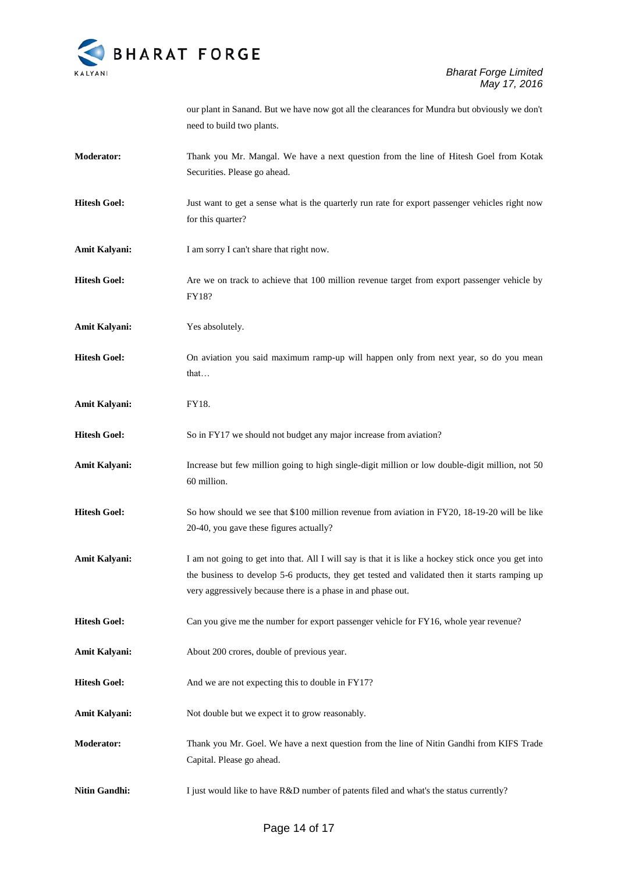

our plant in Sanand. But we have now got all the clearances for Mundra but obviously we don't need to build two plants.

- **Moderator:** Thank you Mr. Mangal. We have a next question from the line of Hitesh Goel from Kotak Securities. Please go ahead.
- **Hitesh Goel:** Just want to get a sense what is the quarterly run rate for export passenger vehicles right now for this quarter?
- Amit Kalyani: I am sorry I can't share that right now.
- **Hitesh Goel:** Are we on track to achieve that 100 million revenue target from export passenger vehicle by FY18?
- **Amit Kalyani:** Yes absolutely.
- **Hitesh Goel:** On aviation you said maximum ramp-up will happen only from next year, so do you mean that…
- **Amit Kalyani:** FY18.
- **Hitesh Goel:** So in FY17 we should not budget any major increase from aviation?
- **Amit Kalyani:** Increase but few million going to high single-digit million or low double-digit million, not 50 60 million.
- **Hitesh Goel:** So how should we see that \$100 million revenue from aviation in FY20, 18-19-20 will be like 20-40, you gave these figures actually?
- Amit Kalyani: I am not going to get into that. All I will say is that it is like a hockey stick once you get into the business to develop 5-6 products, they get tested and validated then it starts ramping up very aggressively because there is a phase in and phase out.
- **Hitesh Goel:** Can you give me the number for export passenger vehicle for FY16, whole year revenue?
- **Amit Kalyani:** About 200 crores, double of previous year.
- **Hitesh Goel:** And we are not expecting this to double in FY17?
- Amit Kalyani: Not double but we expect it to grow reasonably.
- **Moderator:** Thank you Mr. Goel. We have a next question from the line of Nitin Gandhi from KIFS Trade Capital. Please go ahead.
- **Nitin Gandhi:** I just would like to have R&D number of patents filed and what's the status currently?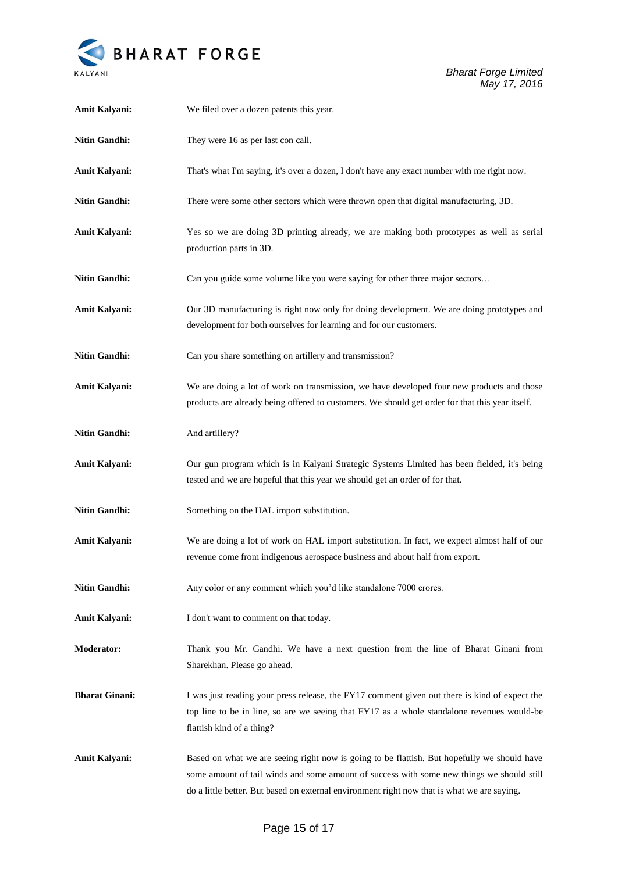

| Amit Kalyani:         | We filed over a dozen patents this year.                                                                                                                                                                                                                                                |
|-----------------------|-----------------------------------------------------------------------------------------------------------------------------------------------------------------------------------------------------------------------------------------------------------------------------------------|
| <b>Nitin Gandhi:</b>  | They were 16 as per last con call.                                                                                                                                                                                                                                                      |
| Amit Kalyani:         | That's what I'm saying, it's over a dozen, I don't have any exact number with me right now.                                                                                                                                                                                             |
| <b>Nitin Gandhi:</b>  | There were some other sectors which were thrown open that digital manufacturing, 3D.                                                                                                                                                                                                    |
| Amit Kalyani:         | Yes so we are doing 3D printing already, we are making both prototypes as well as serial<br>production parts in 3D.                                                                                                                                                                     |
| <b>Nitin Gandhi:</b>  | Can you guide some volume like you were saying for other three major sectors                                                                                                                                                                                                            |
| Amit Kalyani:         | Our 3D manufacturing is right now only for doing development. We are doing prototypes and<br>development for both ourselves for learning and for our customers.                                                                                                                         |
| <b>Nitin Gandhi:</b>  | Can you share something on artillery and transmission?                                                                                                                                                                                                                                  |
| <b>Amit Kalyani:</b>  | We are doing a lot of work on transmission, we have developed four new products and those<br>products are already being offered to customers. We should get order for that this year itself.                                                                                            |
| <b>Nitin Gandhi:</b>  | And artillery?                                                                                                                                                                                                                                                                          |
| Amit Kalyani:         | Our gun program which is in Kalyani Strategic Systems Limited has been fielded, it's being<br>tested and we are hopeful that this year we should get an order of for that.                                                                                                              |
| <b>Nitin Gandhi:</b>  | Something on the HAL import substitution.                                                                                                                                                                                                                                               |
| Amit Kalyani:         | We are doing a lot of work on HAL import substitution. In fact, we expect almost half of our<br>revenue come from indigenous aerospace business and about half from export.                                                                                                             |
| <b>Nitin Gandhi:</b>  | Any color or any comment which you'd like standalone 7000 crores.                                                                                                                                                                                                                       |
| <b>Amit Kalyani:</b>  | I don't want to comment on that today.                                                                                                                                                                                                                                                  |
| <b>Moderator:</b>     | Thank you Mr. Gandhi. We have a next question from the line of Bharat Ginani from<br>Sharekhan. Please go ahead.                                                                                                                                                                        |
| <b>Bharat Ginani:</b> | I was just reading your press release, the FY17 comment given out there is kind of expect the<br>top line to be in line, so are we seeing that FY17 as a whole standalone revenues would-be<br>flattish kind of a thing?                                                                |
| Amit Kalyani:         | Based on what we are seeing right now is going to be flattish. But hopefully we should have<br>some amount of tail winds and some amount of success with some new things we should still<br>do a little better. But based on external environment right now that is what we are saying. |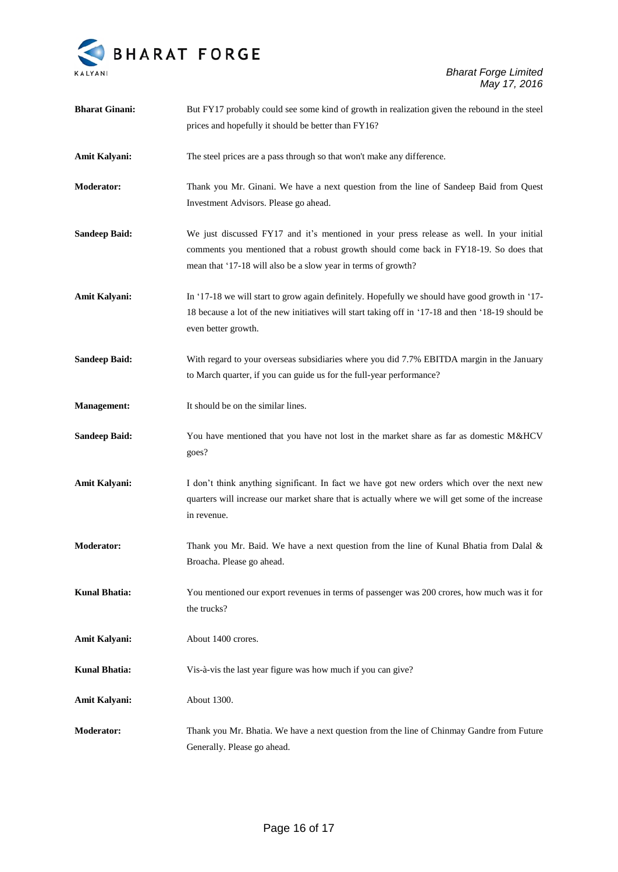

| <b>Bharat Ginani:</b> | But FY17 probably could see some kind of growth in realization given the rebound in the steel     |
|-----------------------|---------------------------------------------------------------------------------------------------|
|                       | prices and hopefully it should be better than FY16?                                               |
| Amit Kalyani:         | The steel prices are a pass through so that won't make any difference.                            |
| <b>Moderator:</b>     | Thank you Mr. Ginani. We have a next question from the line of Sandeep Baid from Quest            |
|                       | Investment Advisors. Please go ahead.                                                             |
| <b>Sandeep Baid:</b>  | We just discussed FY17 and it's mentioned in your press release as well. In your initial          |
|                       | comments you mentioned that a robust growth should come back in FY18-19. So does that             |
|                       | mean that '17-18 will also be a slow year in terms of growth?                                     |
| Amit Kalyani:         | In '17-18 we will start to grow again definitely. Hopefully we should have good growth in '17-    |
|                       | 18 because a lot of the new initiatives will start taking off in '17-18 and then '18-19 should be |
|                       | even better growth.                                                                               |
| <b>Sandeep Baid:</b>  | With regard to your overseas subsidiaries where you did 7.7% EBITDA margin in the January         |
|                       | to March quarter, if you can guide us for the full-year performance?                              |
| <b>Management:</b>    | It should be on the similar lines.                                                                |
| <b>Sandeep Baid:</b>  | You have mentioned that you have not lost in the market share as far as domestic M&HCV            |
|                       | goes?                                                                                             |
| Amit Kalyani:         | I don't think anything significant. In fact we have got new orders which over the next new        |
|                       | quarters will increase our market share that is actually where we will get some of the increase   |
|                       | in revenue.                                                                                       |
| <b>Moderator:</b>     | Thank you Mr. Baid. We have a next question from the line of Kunal Bhatia from Dalal $\&$         |
|                       | Broacha. Please go ahead.                                                                         |
| <b>Kunal Bhatia:</b>  | You mentioned our export revenues in terms of passenger was 200 crores, how much was it for       |
|                       | the trucks?                                                                                       |
| Amit Kalyani:         | About 1400 crores.                                                                                |
| <b>Kunal Bhatia:</b>  | Vis-à-vis the last year figure was how much if you can give?                                      |
| Amit Kalyani:         | About 1300.                                                                                       |
| <b>Moderator:</b>     | Thank you Mr. Bhatia. We have a next question from the line of Chinmay Gandre from Future         |
|                       | Generally. Please go ahead.                                                                       |